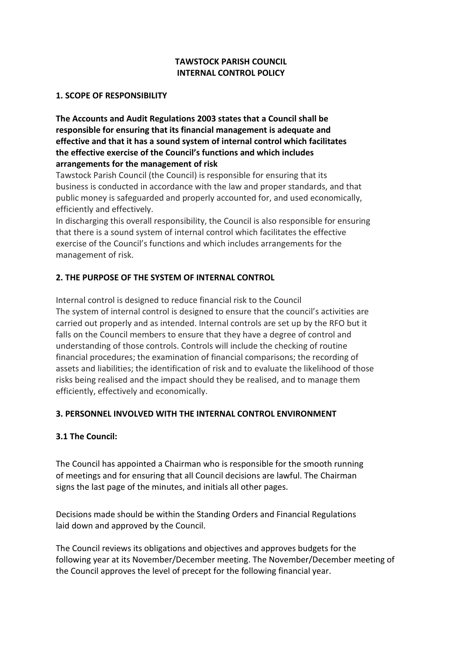# **TAWSTOCK PARISH COUNCIL INTERNAL CONTROL POLICY**

#### **1. SCOPE OF RESPONSIBILITY**

**The Accounts and Audit Regulations 2003 states that a Council shall be responsible for ensuring that its financial management is adequate and effective and that it has a sound system of internal control which facilitates the effective exercise of the Council's functions and which includes arrangements for the management of risk**

Tawstock Parish Council (the Council) is responsible for ensuring that its business is conducted in accordance with the law and proper standards, and that public money is safeguarded and properly accounted for, and used economically, efficiently and effectively.

In discharging this overall responsibility, the Council is also responsible for ensuring that there is a sound system of internal control which facilitates the effective exercise of the Council's functions and which includes arrangements for the management of risk.

## **2. THE PURPOSE OF THE SYSTEM OF INTERNAL CONTROL**

Internal control is designed to reduce financial risk to the Council The system of internal control is designed to ensure that the council's activities are carried out properly and as intended. Internal controls are set up by the RFO but it falls on the Council members to ensure that they have a degree of control and understanding of those controls. Controls will include the checking of routine financial procedures; the examination of financial comparisons; the recording of assets and liabilities; the identification of risk and to evaluate the likelihood of those risks being realised and the impact should they be realised, and to manage them efficiently, effectively and economically.

## **3. PERSONNEL INVOLVED WITH THE INTERNAL CONTROL ENVIRONMENT**

## **3.1 The Council:**

The Council has appointed a Chairman who is responsible for the smooth running of meetings and for ensuring that all Council decisions are lawful. The Chairman signs the last page of the minutes, and initials all other pages.

Decisions made should be within the Standing Orders and Financial Regulations laid down and approved by the Council.

The Council reviews its obligations and objectives and approves budgets for the following year at its November/December meeting. The November/December meeting of the Council approves the level of precept for the following financial year.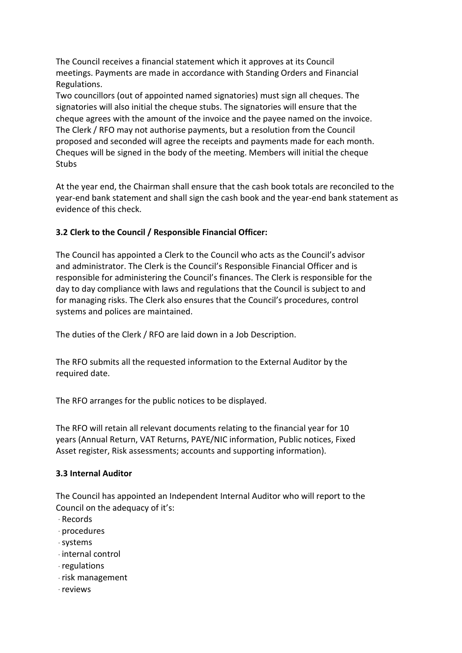The Council receives a financial statement which it approves at its Council meetings. Payments are made in accordance with Standing Orders and Financial Regulations.

Two councillors (out of appointed named signatories) must sign all cheques. The signatories will also initial the cheque stubs. The signatories will ensure that the cheque agrees with the amount of the invoice and the payee named on the invoice. The Clerk / RFO may not authorise payments, but a resolution from the Council proposed and seconded will agree the receipts and payments made for each month. Cheques will be signed in the body of the meeting. Members will initial the cheque **Stubs** 

At the year end, the Chairman shall ensure that the cash book totals are reconciled to the year-end bank statement and shall sign the cash book and the year-end bank statement as evidence of this check.

# **3.2 Clerk to the Council / Responsible Financial Officer:**

The Council has appointed a Clerk to the Council who acts as the Council's advisor and administrator. The Clerk is the Council's Responsible Financial Officer and is responsible for administering the Council's finances. The Clerk is responsible for the day to day compliance with laws and regulations that the Council is subject to and for managing risks. The Clerk also ensures that the Council's procedures, control systems and polices are maintained.

The duties of the Clerk / RFO are laid down in a Job Description.

The RFO submits all the requested information to the External Auditor by the required date.

The RFO arranges for the public notices to be displayed.

The RFO will retain all relevant documents relating to the financial year for 10 years (Annual Return, VAT Returns, PAYE/NIC information, Public notices, Fixed Asset register, Risk assessments; accounts and supporting information).

## **3.3 Internal Auditor**

The Council has appointed an Independent Internal Auditor who will report to the Council on the adequacy of it's:

- Records
- $\cdot$  procedures
- systems
- internal control
- regulations
- risk management
- reviews